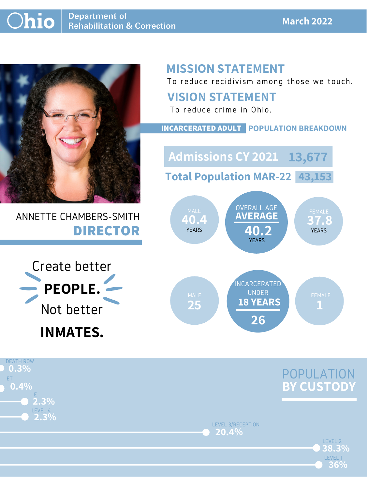#### **March 2022**



ANNETTE CHAMBERS-SMITH **DIRECTOR**

## **MISSION STATEMENT**

To reduce recidivism among those we touch.





#### **VISION STATEMENT**

To reduce crime in Ohio.



#### **INCARCERATED ADULT POPULATION BREAKDOWN**

**Total Population MAR-22 43,153**

**Admissions CY 2021 13,677**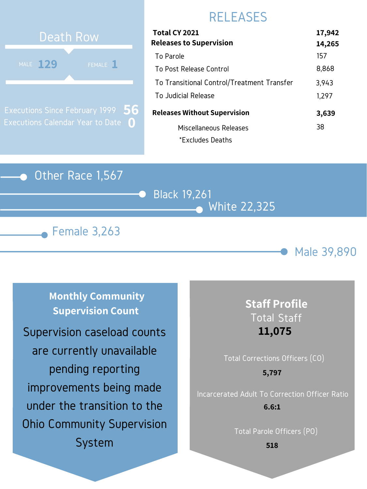#### Other Race 1,567







### RELEASES

# **129 129 129** Death Row MALE  $129$

Executions Since February 1999 Executions Calendar Year to Date **0 56**

| Total CY 2021                              | 17,942 |
|--------------------------------------------|--------|
| <b>Releases to Supervision</b>             | 14,265 |
| To Parole                                  | 157    |
| To Post Release Control                    | 8,868  |
| To Transitional Control/Treatment Transfer | 3,943  |
| To Judicial Release                        | 1,297  |
| <b>Releases Without Supervision</b>        | 3,639  |
| Miscellaneous Releases                     | 38     |
| *Excludes Deaths                           |        |

**Monthly Community Supervision Count**

#### **Staff Profile** Total Staff **11,075**

## Total Corrections Officers (CO) Incarcerated Adult To Correction Officer Ratio **5,797 6.6:1**

Total Parole Officers (PO)

**518**

Supervision caseload counts are currently unavailable pending reporting improvements being made under the transition to the Ohio Community Supervision System